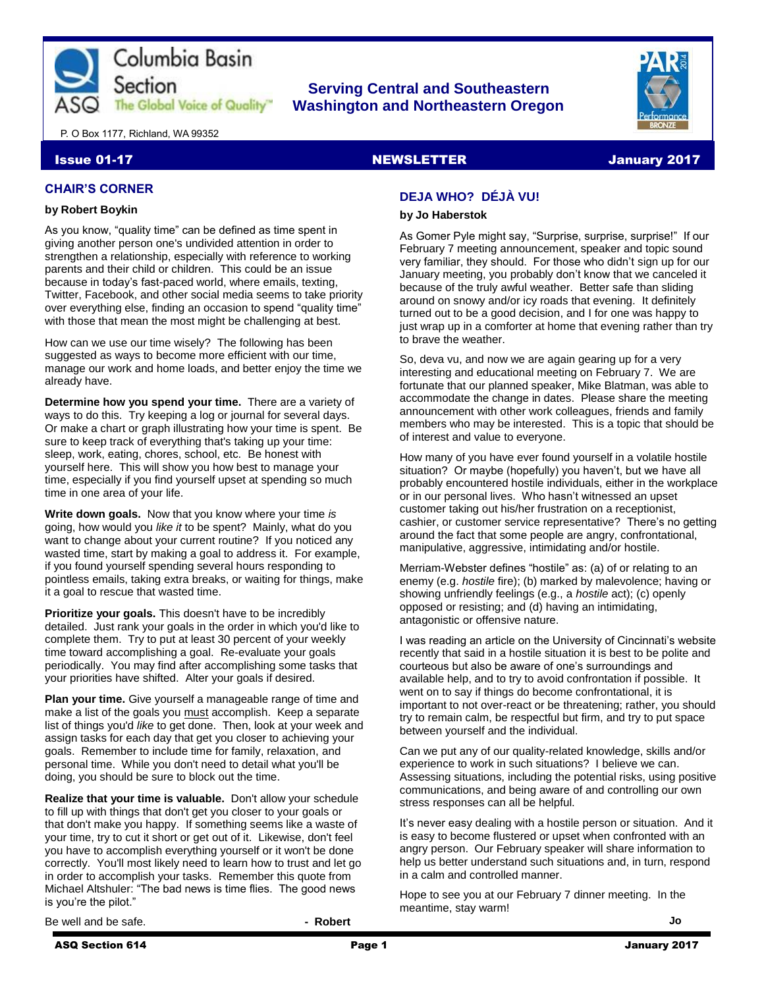

## **Serving Central and Southeastern The Global Voice of Quality Washington and Northeastern Oregon**



P. O Box 1177, Richland, WA 99352

#### Issue 01-17 NEWSLETTER And the control of the state of the control of the control of the control of the control of the control of the control of the control of the control of the control of the control of the control of th

#### **CHAIR'S CORNER**

#### **by Robert Boykin**

As you know, "quality time" can be defined as time spent in giving another person one's undivided attention in order to strengthen a relationship, especially with reference to working parents and their child or children. This could be an issue because in today's fast-paced world, where emails, texting, Twitter, Facebook, and other social media seems to take priority over everything else, finding an occasion to spend "quality time" with those that mean the most might be challenging at best.

How can we use our time wisely? The following has been suggested as ways to become more efficient with our time, manage our work and home loads, and better enjoy the time we already have.

**Determine how you spend your time.** There are a variety of ways to do this. Try keeping a log or journal for several days. Or make a chart or graph illustrating how your time is spent. Be sure to keep track of everything that's taking up your time: sleep, work, eating, chores, school, etc. Be honest with yourself here. This will show you how best to manage your time, especially if you find yourself upset at spending so much time in one area of your life.

**Write down goals.** Now that you know where your time *is* going, how would you *like it* to be spent? Mainly, what do you want to change about your current routine? If you noticed any wasted time, start by making a goal to address it. For example, if you found yourself spending several hours responding to pointless emails, taking extra breaks, or waiting for things, make it a goal to rescue that wasted time.

**Prioritize your goals.** This doesn't have to be incredibly detailed. Just rank your goals in the order in which you'd like to complete them. Try to put at least 30 percent of your weekly time toward accomplishing a goal. Re-evaluate your goals periodically. You may find after accomplishing some tasks that your priorities have shifted. Alter your goals if desired.

**Plan your time.** Give yourself a manageable range of time and make a list of the goals you must accomplish. Keep a separate list of things you'd *like* to get done. Then, look at your week and assign tasks for each day that get you closer to achieving your goals. Remember to include time for family, relaxation, and personal time. While you don't need to detail what you'll be doing, you should be sure to block out the time.

**Realize that your time is valuable.** Don't allow your schedule to fill up with things that don't get you closer to your goals or that don't make you happy. If something seems like a waste of your time, try to cut it short or get out of it. Likewise, don't feel you have to accomplish everything yourself or it won't be done correctly. You'll most likely need to learn how to trust and let go in order to accomplish your tasks. Remember this quote from Michael Altshuler: "The bad news is time flies. The good news is you're the pilot."

Be well and be safe. **and he safe. - Robert** 

## **DEJA WHO? DÉJÀ VU!**

#### **by Jo Haberstok**

As Gomer Pyle might say, "Surprise, surprise, surprise!" If our February 7 meeting announcement, speaker and topic sound very familiar, they should. For those who didn't sign up for our January meeting, you probably don't know that we canceled it because of the truly awful weather. Better safe than sliding around on snowy and/or icy roads that evening. It definitely turned out to be a good decision, and I for one was happy to just wrap up in a comforter at home that evening rather than try to brave the weather.

So, deva vu, and now we are again gearing up for a very interesting and educational meeting on February 7. We are fortunate that our planned speaker, Mike Blatman, was able to accommodate the change in dates. Please share the meeting announcement with other work colleagues, friends and family members who may be interested. This is a topic that should be of interest and value to everyone.

How many of you have ever found yourself in a volatile hostile situation? Or maybe (hopefully) you haven't, but we have all probably encountered hostile individuals, either in the workplace or in our personal lives. Who hasn't witnessed an upset customer taking out his/her frustration on a receptionist, cashier, or customer service representative? There's no getting around the fact that some people are angry, confrontational, manipulative, aggressive, intimidating and/or hostile.

Merriam-Webster defines "hostile" as: (a) of or relating to an enemy (e.g. *hostile* fire); (b) marked by malevolence; having or showing unfriendly feelings (e.g., a *hostile* act); (c) openly opposed or resisting; and (d) having an intimidating, antagonistic or offensive nature.

I was reading an article on the University of Cincinnati's website recently that said in a hostile situation it is best to be polite and courteous but also be aware of one's surroundings and available help, and to try to avoid confrontation if possible. It went on to say if things do become confrontational, it is important to not over-react or be threatening; rather, you should try to remain calm, be respectful but firm, and try to put space between yourself and the individual.

Can we put any of our quality-related knowledge, skills and/or experience to work in such situations? I believe we can. Assessing situations, including the potential risks, using positive communications, and being aware of and controlling our own stress responses can all be helpful.

It's never easy dealing with a hostile person or situation. And it is easy to become flustered or upset when confronted with an angry person. Our February speaker will share information to help us better understand such situations and, in turn, respond in a calm and controlled manner.

Hope to see you at our February 7 dinner meeting. In the meantime, stay warm!

**Jo**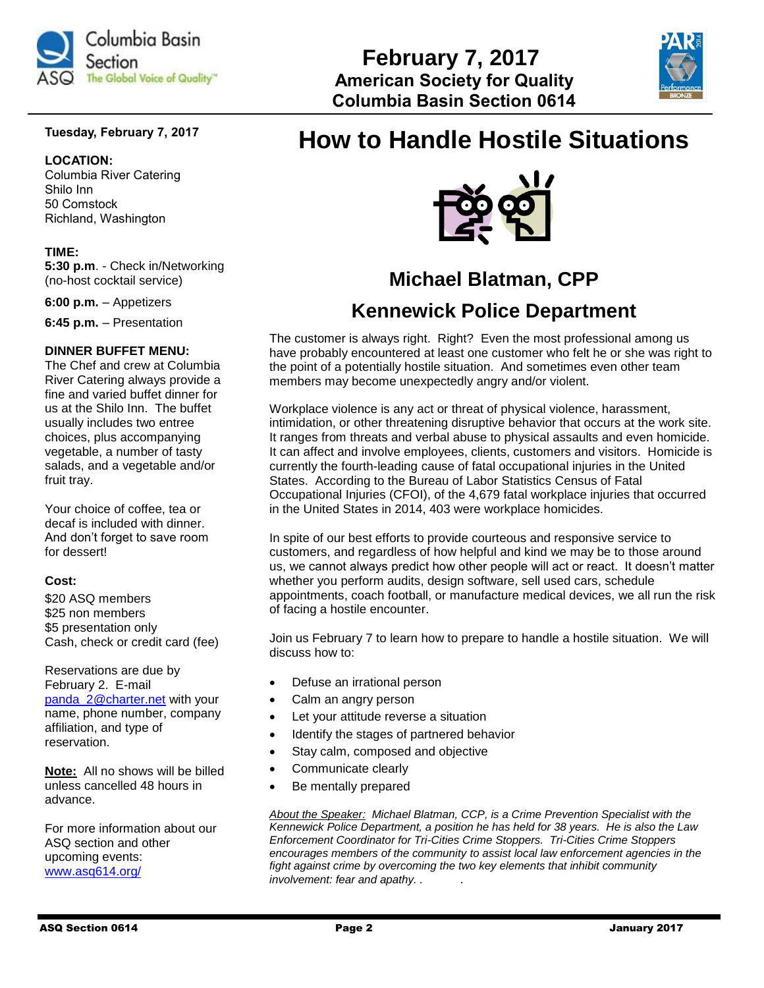

## **Tuesday, February 7, 2017**

#### **LOCATION:**

Columbia River Catering Shilo Inn 50 Comstock Richland, Washington

#### **TIME:**

**5:30 p.m**. - Check in/Networking (no-host cocktail service)

**6:00 p.m.** – Appetizers

**6:45 p.m.** – Presentation

#### **DINNER BUFFET MENU:**

The Chef and crew at Columbia River Catering always provide a fine and varied buffet dinner for us at the Shilo Inn. The buffet usually includes two entree choices, plus accompanying vegetable, a number of tasty salads, and a vegetable and/or fruit tray.

Your choice of coffee, tea or decaf is included with dinner. And don't forget to save room for dessert!

#### **Cost:**

\$20 ASQ members \$25 non members \$5 presentation only Cash, check or credit card (fee)

Reservations are due by February 2. E-mail [panda\\_2@charter.net](mailto:panda_2@charter.net) with your name, phone number, company affiliation, and type of reservation.

**Note:** All no shows will be billed unless cancelled 48 hours in advance.

For more information about our ASQ section and other upcoming events: [www.asq614.org/](http://www.asq614.org/)

# **How to Handle Hostile Situations**

 **February 7, 2017**

 **Columbia Basin Section 0614**



## **Michael Blatman, CPP**

## **Kennewick Police Department**

The customer is always right. Right? Even the most professional among us have probably encountered at least one customer who felt he or she was right to the point of a potentially hostile situation. And sometimes even other team members may become unexpectedly angry and/or violent.

Workplace violence is any act or threat of physical violence, harassment, intimidation, or other threatening disruptive behavior that occurs at the work site. It ranges from threats and verbal abuse to physical assaults and even homicide. It can affect and involve employees, clients, customers and visitors. Homicide is currently the fourth-leading cause of fatal occupational injuries in the United States. According to the Bureau of Labor Statistics Census of Fatal Occupational Injuries (CFOI), of the 4,679 fatal workplace injuries that occurred in the United States in 2014, 403 were workplace homicides.

In spite of our best efforts to provide courteous and responsive service to customers, and regardless of how helpful and kind we may be to those around us, we cannot always predict how other people will act or react. It doesn't matter whether you perform audits, design software, sell used cars, schedule appointments, coach football, or manufacture medical devices, we all run the risk of facing a hostile encounter.

Join us February 7 to learn how to prepare to handle a hostile situation. We will discuss how to:

- Defuse an irrational person
- Calm an angry person
- Let your attitude reverse a situation
- Identify the stages of partnered behavior
- Stay calm, composed and objective
- Communicate clearly
- Be mentally prepared

*About the Speaker: Michael Blatman, CCP, is a Crime Prevention Specialist with the Kennewick Police Department, a position he has held for 38 years. He is also the Law Enforcement Coordinator for Tri-Cities Crime Stoppers. Tri-Cities Crime Stoppers encourages members of the community to assist local law enforcement agencies in the fight against crime by overcoming the two key elements that inhibit community involvement: fear and apathy. . .*

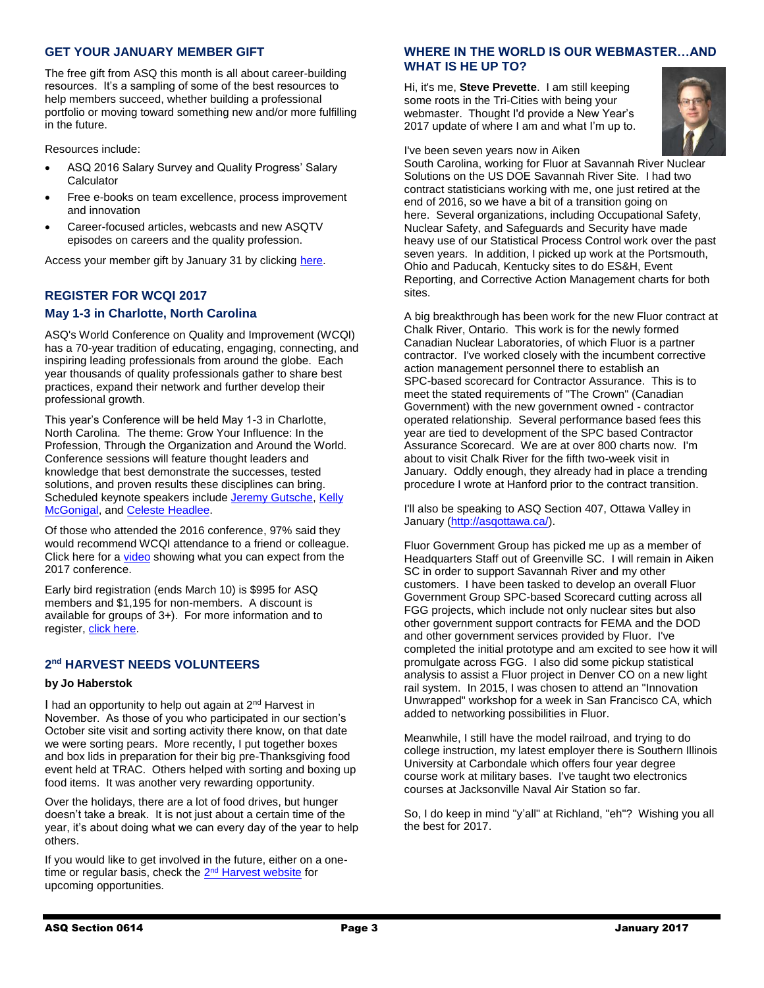#### **GET YOUR JANUARY MEMBER GIFT**

The free gift from ASQ this month is all about career-building resources. It's a sampling of some of the best resources to help members succeed, whether building a professional portfolio or moving toward something new and/or more fulfilling in the future.

Resources include:

- ASQ 2016 Salary Survey and Quality Progress' Salary **Calculator**
- Free e-books on team excellence, process improvement and innovation
- Career-focused articles, webcasts and new ASQTV episodes on careers and the quality profession.

Access your member gift by January 31 by clicking [here.](https://asq.org/account/login?prvurl=http://asq.org/membership/members/gift/?utm_source=email&utm_medium=email&utm_campaign=marketing_janmembergift_010317)

#### **REGISTER FOR WCQI 2017**

#### **May 1-3 in Charlotte, North Carolina**

ASQ's World Conference on Quality and Improvement (WCQI) has a 70-year tradition of educating, engaging, connecting, and inspiring leading professionals from around the globe. Each year thousands of quality professionals gather to share best practices, expand their network and further develop their professional growth.

This year's Conference will be held May 1-3 in Charlotte, North Carolina. The theme: Grow Your Influence: In the Profession, Through the Organization and Around the World. Conference sessions will feature thought leaders and knowledge that best demonstrate the successes, tested solutions, and proven results these disciplines can bring. Scheduled keynote speakers include [Jeremy Gutsche,](http://asq.org/wcqi/2017/speakers/gutsche.aspx) [Kelly](http://asq.org/wcqi/2017/speakers/mcgonigal.aspx)  [McGonigal,](http://asq.org/wcqi/2017/speakers/mcgonigal.aspx) and Celeste [Headlee.](http://asq.org/wcqi/2017/speakers/headlee.aspx)

Of those who attended the 2016 conference, 97% said they would recommend WCQI attendance to a friend or colleague. Click here for a [video](http://videos.asq.org/2017-world-conference-on-quality-and-improvement?utm_source=email) showing what you can expect from the 2017 conference.

Early bird registration (ends March 10) is \$995 for ASQ members and \$1,195 for non-members. A discount is available for groups of 3+). For more information and to register, [click here.](http://asq.org/wcqi/about.aspx)

#### **2 nd HARVEST NEEDS VOLUNTEERS**

#### **by Jo Haberstok**

I had an opportunity to help out again at 2<sup>nd</sup> Harvest in November. As those of you who participated in our section's October site visit and sorting activity there know, on that date we were sorting pears. More recently, I put together boxes and box lids in preparation for their big pre-Thanksgiving food event held at TRAC. Others helped with sorting and boxing up food items. It was another very rewarding opportunity.

Over the holidays, there are a lot of food drives, but hunger doesn't take a break. It is not just about a certain time of the year, it's about doing what we can every day of the year to help others.

If you would like to get involved in the future, either on a one-time or regular basis, check the 2<sup>nd</sup> [Harvest website](http://www.2-harvest.org/tri-cities-volunteer-center/) for upcoming opportunities.

#### **WHERE IN THE WORLD IS OUR WEBMASTER…AND WHAT IS HE UP TO?**

Hi, it's me, **Steve Prevette**. I am still keeping some roots in the Tri-Cities with being your webmaster. Thought I'd provide a New Year's 2017 update of where I am and what I'm up to.

sites.



I've been seven years now in Aiken South Carolina, working for Fluor at Savannah River Nuclear Solutions on the US DOE Savannah River Site. I had two contract statisticians working with me, one just retired at the end of 2016, so we have a bit of a transition going on here. Several organizations, including Occupational Safety, Nuclear Safety, and Safeguards and Security have made heavy use of our Statistical Process Control work over the past seven years. In addition, I picked up work at the Portsmouth, Ohio and Paducah, Kentucky sites to do ES&H, Event Reporting, and Corrective Action Management charts for both

A big breakthrough has been work for the new Fluor contract at Chalk River, Ontario. This work is for the newly formed Canadian Nuclear Laboratories, of which Fluor is a partner contractor. I've worked closely with the incumbent corrective action management personnel there to establish an SPC-based scorecard for Contractor Assurance. This is to meet the stated requirements of "The Crown" (Canadian Government) with the new government owned - contractor operated relationship. Several performance based fees this year are tied to development of the SPC based Contractor Assurance Scorecard. We are at over 800 charts now. I'm about to visit Chalk River for the fifth two-week visit in January. Oddly enough, they already had in place a trending procedure I wrote at Hanford prior to the contract transition.

I'll also be speaking to ASQ Section 407, Ottawa Valley in January [\(http://asqottawa.ca/\)](http://asqottawa.ca/).

Fluor Government Group has picked me up as a member of Headquarters Staff out of Greenville SC. I will remain in Aiken SC in order to support Savannah River and my other customers. I have been tasked to develop an overall Fluor Government Group SPC-based Scorecard cutting across all FGG projects, which include not only nuclear sites but also other government support contracts for FEMA and the DOD and other government services provided by Fluor. I've completed the initial prototype and am excited to see how it will promulgate across FGG. I also did some pickup statistical analysis to assist a Fluor project in Denver CO on a new light rail system. In 2015, I was chosen to attend an "Innovation Unwrapped" workshop for a week in San Francisco CA, which added to networking possibilities in Fluor.

Meanwhile, I still have the model railroad, and trying to do college instruction, my latest employer there is Southern Illinois University at Carbondale which offers four year degree course work at military bases. I've taught two electronics courses at Jacksonville Naval Air Station so far.

So, I do keep in mind "y'all" at Richland, "eh"? Wishing you all the best for 2017.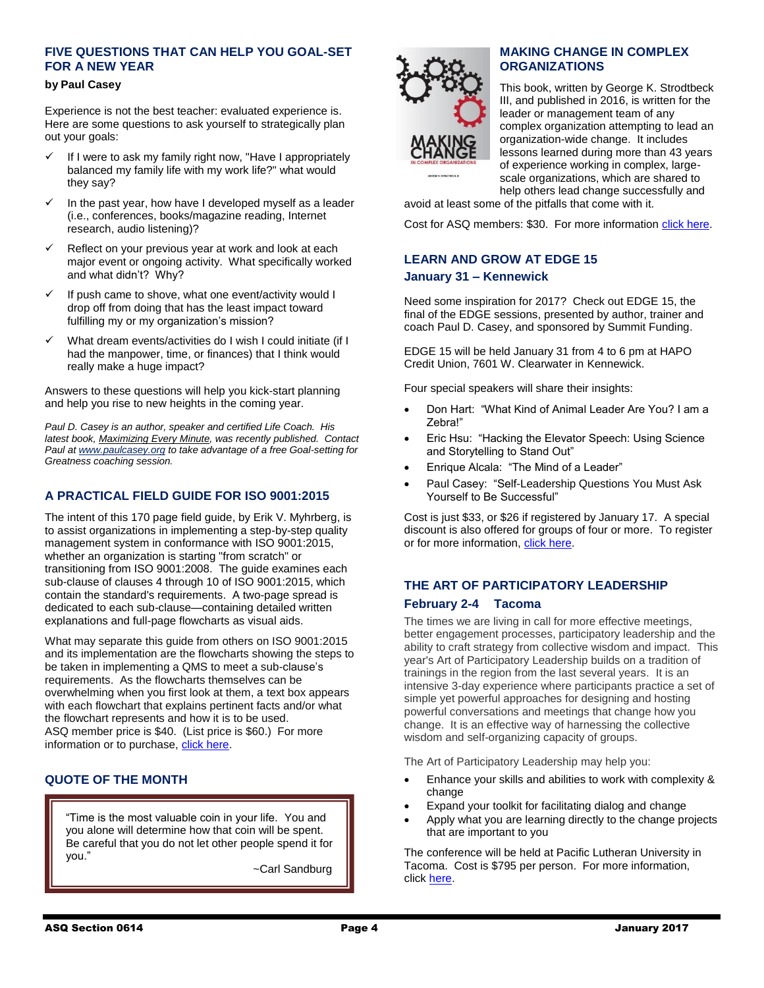## **FIVE QUESTIONS THAT CAN HELP YOU GOAL-SET FOR A NEW YEAR**

#### **by Paul Casey**

Experience is not the best teacher: evaluated experience is. Here are some questions to ask yourself to strategically plan out your goals:

- $\checkmark$  If I were to ask my family right now, "Have I appropriately balanced my family life with my work life?" what would they say?
- $\checkmark$  In the past year, how have I developed myself as a leader (i.e., conferences, books/magazine reading, Internet research, audio listening)?
- Reflect on your previous year at work and look at each major event or ongoing activity. What specifically worked and what didn't? Why?
- $\checkmark$  If push came to shove, what one event/activity would I drop off from doing that has the least impact toward fulfilling my or my organization's mission?
- What dream events/activities do I wish I could initiate (if I had the manpower, time, or finances) that I think would really make a huge impact?

Answers to these questions will help you kick-start planning and help you rise to new heights in the coming year.

*Paul D. Casey is an author, speaker and certified Life Coach. His latest book, Maximizing Every Minute, was recently published. Contact Paul a[t www.paulcasey.org](http://www.paulcasey.org/?awt_l=7kV8w&awt_m=3Zw9MGngx.JTh2k) to take advantage of a free Goal-setting for Greatness coaching session.*

## **A PRACTICAL FIELD GUIDE FOR ISO 9001:2015**

The intent of this 170 page field guide, by Erik V. Myhrberg, is to assist organizations in implementing a step-by-step quality management system in conformance with ISO 9001:2015, whether an organization is starting "from scratch" or transitioning from ISO 9001:2008. The guide examines each sub-clause of clauses 4 through 10 of ISO 9001:2015, which contain the standard's requirements. A two-page spread is dedicated to each sub-clause—containing detailed written explanations and full-page flowcharts as visual aids.

What may separate this guide from others on ISO 9001:2015 and its implementation are the flowcharts showing the steps to be taken in implementing a QMS to meet a sub-clause's requirements. As the flowcharts themselves can be overwhelming when you first look at them, a text box appears with each flowchart that explains pertinent facts and/or what the flowchart represents and how it is to be used. ASQ member price is \$40. (List price is \$60.) For more information or to purchase[, click here.](https://asq.org/quality-press/display-item?item=H1517&utm_source=email&utm_medium=email&utm_campaign=knowledge%20offerings_qp%20news_january%202017)

#### **QUOTE OF THE MONTH**

"Time is the most valuable coin in your life. You and you alone will determine how that coin will be spent. Be careful that you do not let other people spend it for you."

~Carl Sandburg



#### **MAKING CHANGE IN COMPLEX ORGANIZATIONS**

This book, written by George K. Strodtbeck III, and published in 2016, is written for the leader or management team of any complex organization attempting to lead an organization-wide change. It includes lessons learned during more than 43 years of experience working in complex, largescale organizations, which are shared to help others lead change successfully and

avoid at least some of the pitfalls that come with it.

Cost for ASQ members: \$30. For more informatio[n click here.](http://asq.org/quality-press/display-item/?item=H1506&utm_content=&utm_source=email&utm_medium=email&utm_campaign=knowledge%20offerings_quality%20press%20news_june%202016)

## **LEARN AND GROW AT EDGE 15 January 31 – Kennewick**

Need some inspiration for 2017? Check out EDGE 15, the final of the EDGE sessions, presented by author, trainer and coach Paul D. Casey, and sponsored by Summit Funding.

EDGE 15 will be held January 31 from 4 to 6 pm at HAPO Credit Union, 7601 W. Clearwater in Kennewick.

Four special speakers will share their insights:

- Don Hart: "What Kind of Animal Leader Are You? I am a Zebra!"
- Eric Hsu: "Hacking the Elevator Speech: Using Science and Storytelling to Stand Out"
- Enrique Alcala: "The Mind of a Leader"
- Paul Casey: "Self-Leadership Questions You Must Ask Yourself to Be Successful"

Cost is just \$33, or \$26 if registered by January 17. A special discount is also offered for groups of four or more. To register or for more information, [click here.](http://www.paulcasey.org/product/edge15-event/)

## **THE ART OF PARTICIPATORY LEADERSHIP February 2-4 Tacoma**

The times we are living in call for more effective meetings, better engagement processes, participatory leadership and the ability to craft strategy from collective wisdom and impact. This year's Art of Participatory Leadership builds on a tradition of trainings in the region from the last several years. It is an intensive 3-day experience where participants practice a set of simple yet powerful approaches for designing and hosting powerful conversations and meetings that change how you change. It is an effective way of harnessing the collective wisdom and self-organizing capacity of groups.

The Art of Participatory Leadership may help you:

a

- Enhance your skills and abilities to work with complexity & change
- Expand your toolkit for facilitating dialog and change
- Apply what you are learning directly to the change projects that are important to you

The conference will be held at Pacific Lutheran University in Tacoma. Cost is \$795 per person. For more information, click [here.](http://aopl-pnw.weebly.com/)